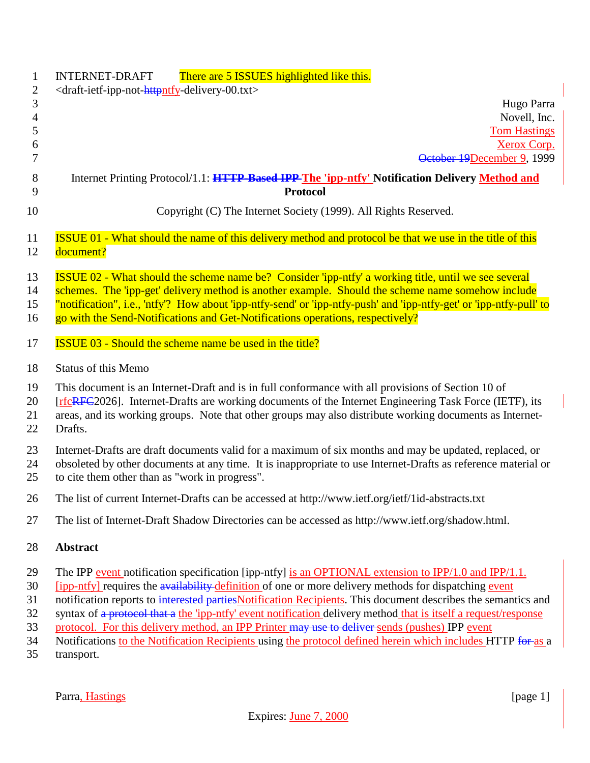| $\mathbf{1}$<br>$\overline{2}$ | There are 5 ISSUES highlighted like this.<br><b>INTERNET-DRAFT</b><br><draft-ietf-ipp-not-httpntfy-delivery-00.txt></draft-ietf-ipp-not-httpntfy-delivery-00.txt> |
|--------------------------------|-------------------------------------------------------------------------------------------------------------------------------------------------------------------|
| 3                              | Hugo Parra                                                                                                                                                        |
| $\overline{4}$                 | Novell, Inc.                                                                                                                                                      |
| 5                              | <b>Tom Hastings</b>                                                                                                                                               |
| 6                              | <b>Xerox Corp.</b>                                                                                                                                                |
| 7                              | October 19December 9, 1999                                                                                                                                        |
| 8                              | Internet Printing Protocol/1.1: HTTP-Based IPP The 'ipp-ntfy' Notification Delivery Method and                                                                    |
| 9                              | <b>Protocol</b>                                                                                                                                                   |
| 10                             | Copyright (C) The Internet Society (1999). All Rights Reserved.                                                                                                   |
| 11                             | <b>ISSUE 01 - What should the name of this delivery method and protocol be that we use in the title of this</b>                                                   |
| 12                             | document?                                                                                                                                                         |
| 13                             | <b>ISSUE 02 - What should the scheme name be?</b> Consider 'ipp-ntfy' a working title, until we see several                                                       |
| 14                             | schemes. The 'ipp-get' delivery method is another example. Should the scheme name somehow include                                                                 |
| 15                             | "notification", i.e., 'ntfy'? How about 'ipp-ntfy-send' or 'ipp-ntfy-push' and 'ipp-ntfy-get' or 'ipp-ntfy-pull' to                                               |
| 16                             | go with the Send-Notifications and Get-Notifications operations, respectively?                                                                                    |
| 17                             | <b>ISSUE 03 - Should the scheme name be used in the title?</b>                                                                                                    |
| 18                             | Status of this Memo                                                                                                                                               |
| 19                             | This document is an Internet-Draft and is in full conformance with all provisions of Section 10 of                                                                |
| 20                             | [rfcRFC2026]. Internet-Drafts are working documents of the Internet Engineering Task Force (IETF), its                                                            |
| 21                             | areas, and its working groups. Note that other groups may also distribute working documents as Internet-                                                          |
| 22                             | Drafts.                                                                                                                                                           |
| 23                             | Internet-Drafts are draft documents valid for a maximum of six months and may be updated, replaced, or                                                            |
| 24                             | obsoleted by other documents at any time. It is inappropriate to use Internet-Drafts as reference material or                                                     |
| 25                             | to cite them other than as "work in progress".                                                                                                                    |
| 26                             | The list of current Internet-Drafts can be accessed at http://www.ietf.org/ietf/1id-abstracts.txt                                                                 |
| 27                             | The list of Internet-Draft Shadow Directories can be accessed as http://www.ietf.org/shadow.html.                                                                 |
| 28                             | <b>Abstract</b>                                                                                                                                                   |
| 29                             | The IPP event notification specification [ipp-ntfy] is an OPTIONAL extension to IPP/1.0 and IPP/1.1.                                                              |
| 30                             | [ipp-ntfy] requires the availability definition of one or more delivery methods for dispatching event                                                             |
| 31                             | notification reports to interested parties Notification Recipients. This document describes the semantics and                                                     |
| 32                             | syntax of a protocol that a the 'ipp-ntfy' event notification delivery method that is itself a request/response                                                   |
| 33                             | protocol. For this delivery method, an IPP Printer may use to deliver sends (pushes) IPP event                                                                    |
| 34                             | Notifications to the Notification Recipients using the protocol defined herein which includes HTTP for as a                                                       |
| 35                             | transport.                                                                                                                                                        |

Parra, Hastings [page 1]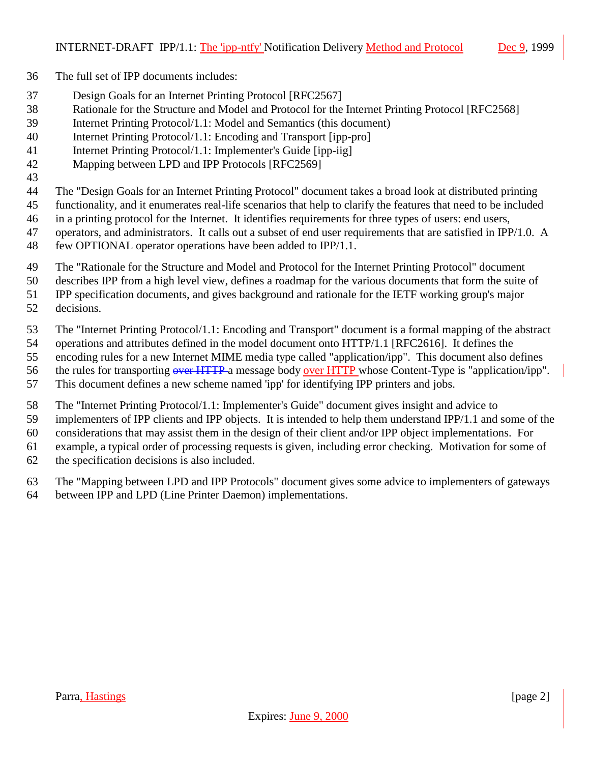- The full set of IPP documents includes:
- Design Goals for an Internet Printing Protocol [RFC2567]
- Rationale for the Structure and Model and Protocol for the Internet Printing Protocol [RFC2568]
- Internet Printing Protocol/1.1: Model and Semantics (this document)
- Internet Printing Protocol/1.1: Encoding and Transport [ipp-pro]
- Internet Printing Protocol/1.1: Implementer's Guide [ipp-iig]
- Mapping between LPD and IPP Protocols [RFC2569]
- 

The "Design Goals for an Internet Printing Protocol" document takes a broad look at distributed printing

- functionality, and it enumerates real-life scenarios that help to clarify the features that need to be included
- in a printing protocol for the Internet. It identifies requirements for three types of users: end users,
- 47 operators, and administrators. It calls out a subset of end user requirements that are satisfied in IPP/1.0. A
- few OPTIONAL operator operations have been added to IPP/1.1.
- The "Rationale for the Structure and Model and Protocol for the Internet Printing Protocol" document
- describes IPP from a high level view, defines a roadmap for the various documents that form the suite of
- IPP specification documents, and gives background and rationale for the IETF working group's major
- decisions.
- The "Internet Printing Protocol/1.1: Encoding and Transport" document is a formal mapping of the abstract
- operations and attributes defined in the model document onto HTTP/1.1 [RFC2616]. It defines the
- encoding rules for a new Internet MIME media type called "application/ipp". This document also defines
- 56 the rules for transporting over HTTP a message body over HTTP whose Content-Type is "application/ipp".
- This document defines a new scheme named 'ipp' for identifying IPP printers and jobs.
- The "Internet Printing Protocol/1.1: Implementer's Guide" document gives insight and advice to
- implementers of IPP clients and IPP objects. It is intended to help them understand IPP/1.1 and some of the
- considerations that may assist them in the design of their client and/or IPP object implementations. For
- example, a typical order of processing requests is given, including error checking. Motivation for some of
- the specification decisions is also included.
- The "Mapping between LPD and IPP Protocols" document gives some advice to implementers of gateways
- between IPP and LPD (Line Printer Daemon) implementations.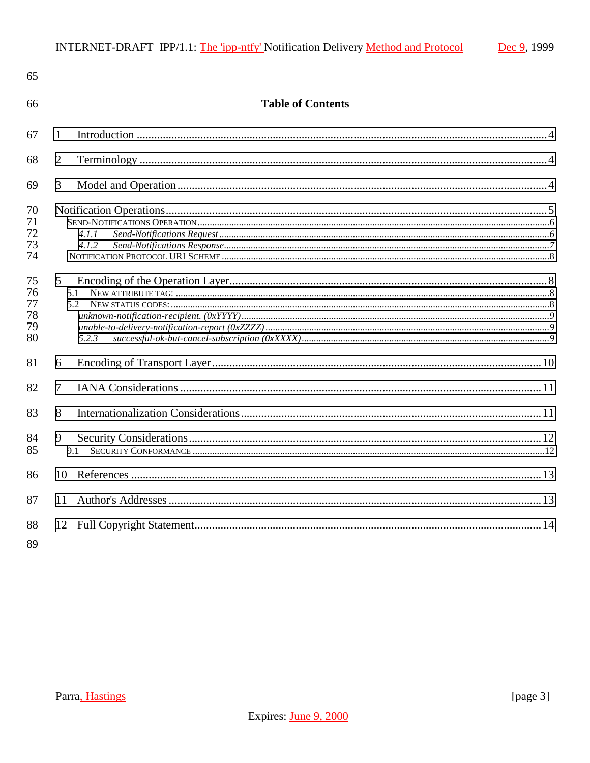| 65                               |                          |  |
|----------------------------------|--------------------------|--|
| 66                               | <b>Table of Contents</b> |  |
| 67                               | 1                        |  |
| 68                               | $\overline{2}$           |  |
| 69                               | 3                        |  |
| 70<br>71<br>72<br>73<br>74       | 4.1.1<br>4.1.2           |  |
| 75<br>76<br>77<br>78<br>79<br>80 | 5<br>5.1<br>5.2<br>5.2.3 |  |
| 81                               | 6                        |  |
| 82                               | 7                        |  |
| 83                               | 8                        |  |
| 84<br>85                         | 9<br>9.1                 |  |
| 86                               | 10 <sup>1</sup>          |  |
| 87                               | 11                       |  |
| 88                               |                          |  |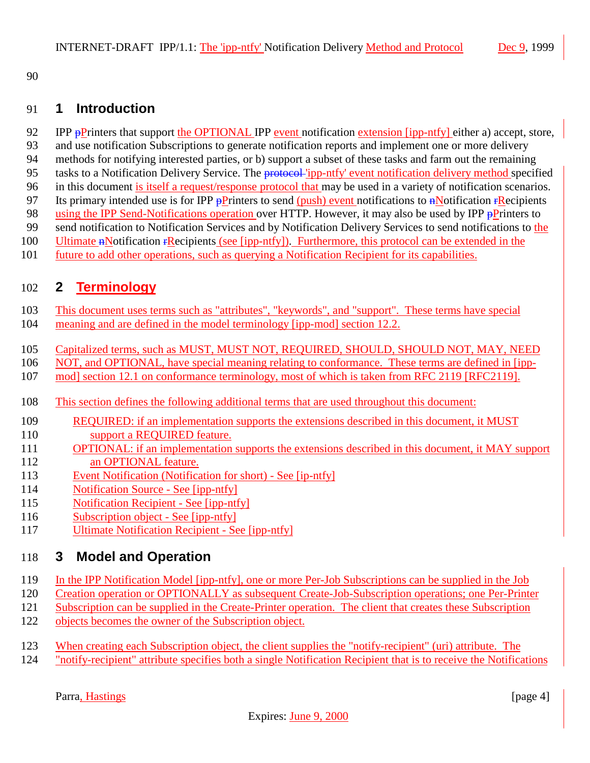<span id="page-3-0"></span>

## **1 Introduction**

- 92 IPP pPrinters that support the OPTIONAL IPP event notification extension [ipp-ntfy] either a) accept, store,
- and use notification Subscriptions to generate notification reports and implement one or more delivery methods for notifying interested parties, or b) support a subset of these tasks and farm out the remaining
- 95 tasks to a Notification Delivery Service. The protocol 'ipp-ntfy' event notification delivery method specified
- in this document is itself a request/response protocol that may be used in a variety of notification scenarios.
- 97 Its primary intended use is for IPP  $\frac{P}{P}$  rinters to send (push) event notifications to  $\frac{P}{P}$  Notification  $\frac{P}{P}$  Recipients
- 98 using the IPP Send-Notifications operation over HTTP. However, it may also be used by IPP  $\frac{1}{P}$ Printers to
- 99 send notification to Notification Services and by Notification Delivery Services to send notifications to the
- Ultimate nNotification rRecipients (see [ipp-ntfy]). Furthermore, this protocol can be extended in the
- future to add other operations, such as querying a Notification Recipient for its capabilities.

# **2 Terminology**

- This document uses terms such as "attributes", "keywords", and "support". These terms have special
- meaning and are defined in the model terminology [ipp-mod] section 12.2.
- Capitalized terms, such as MUST, MUST NOT, REQUIRED, SHOULD, SHOULD NOT, MAY, NEED
- NOT, and OPTIONAL, have special meaning relating to conformance. These terms are defined in [ipp-
- mod] section 12.1 on conformance terminology, most of which is taken from RFC 2119 [RFC2119].
- This section defines the following additional terms that are used throughout this document:
- REQUIRED: if an implementation supports the extensions described in this document, it MUST 110 support a REQUIRED feature.
- **OPTIONAL:** if an implementation supports the extensions described in this document, it MAY support 112 an OPTIONAL feature.
- Event Notification (Notification for short) See [ip-ntfy]
- Notification Source See [ipp-ntfy]
- Notification Recipient See [ipp-ntfy]
- Subscription object See [ipp-ntfy]
- Ultimate Notification Recipient See [ipp-ntfy]

# **3 Model and Operation**

- In the IPP Notification Model [ipp-ntfy], one or more Per-Job Subscriptions can be supplied in the Job
- Creation operation or OPTIONALLY as subsequent Create-Job-Subscription operations; one Per-Printer
- Subscription can be supplied in the Create-Printer operation. The client that creates these Subscription
- objects becomes the owner of the Subscription object.
- 123 When creating each Subscription object, the client supplies the "notify-recipient" (uri) attribute. The
- "notify-recipient" attribute specifies both a single Notification Recipient that is to receive the Notifications

Parra, Hastings [page 4]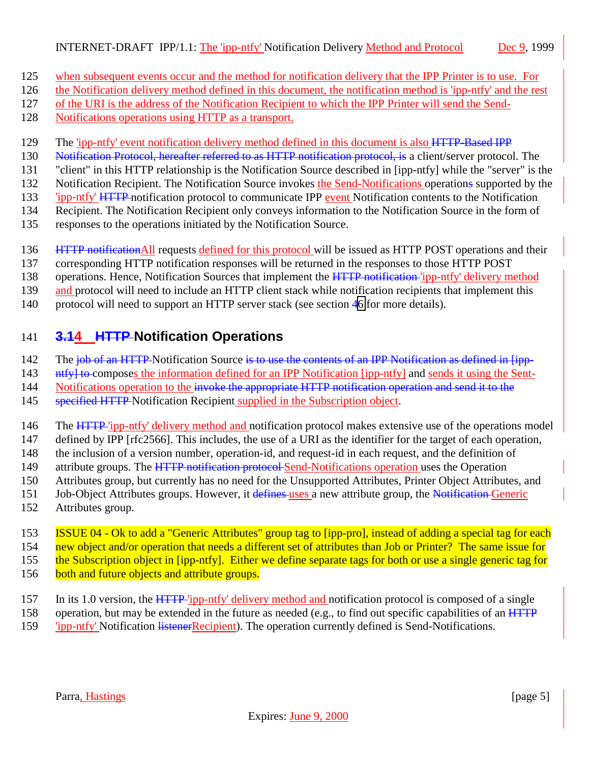- <span id="page-4-0"></span>125 when subsequent events occur and the method for notification delivery that the IPP Printer is to use. For
- 126 the Notification delivery method defined in this document, the notification method is 'ipp-ntfy' and the rest
- 127 of the URI is the address of the Notification Recipient to which the IPP Printer will send the Send-
- 128 Notifications operations using HTTP as a transport.
- 129 The 'ipp-ntfy' event notification delivery method defined in this document is also HTTP-Based IPP
- 130 Notification Protocol, hereafter referred to as HTTP notification protocol, is a client/server protocol. The
- 131 "client" in this HTTP relationship is the Notification Source described in [ipp-ntfy] while the "server" is the
- 132 Notification Recipient. The Notification Source invokes the Send-Notifications operations supported by the
- 133 'ipp-ntfy' HTTP notification protocol to communicate IPP event Notification contents to the Notification
- 134 Recipient. The Notification Recipient only conveys information to the Notification Source in the form of
- 135 responses to the operations initiated by the Notification Source.
- 136 HTTP notification All requests defined for this protocol will be issued as HTTP POST operations and their
- 137 corresponding HTTP notification responses will be returned in the responses to those HTTP POST
- 138 operations. Hence, Notification Sources that implement the HTTP notification 'ipp-ntfy' delivery method
- 139 and protocol will need to include an HTTP client stack while notification recipients that implement this
- 140 protocol will need to support an HTTP server stack (see section [46](#page-9-0) for more details).

# 141 **3.14 HTTP Notification Operations**

- 142 The job of an HTTP Notification Source is to use the contents of an IPP Notification as defined in [ipp-
- 143 ntfyl to composes the information defined for an IPP Notification [ipp-ntfy] and sends it using the Sent-
- 144 Notifications operation to the invoke the appropriate HTTP notification operation and send it to the
- 145 specified HTTP Notification Recipient supplied in the Subscription object.
- 146 The HTTP 'ipp-ntfy' delivery method and notification protocol makes extensive use of the operations model
- 147 defined by IPP [rfc2566]. This includes, the use of a URI as the identifier for the target of each operation,
- 148 the inclusion of a version number, operation-id, and request-id in each request, and the definition of
- 149 attribute groups. The HTTP notification protocol Send-Notifications operation uses the Operation
- 150 Attributes group, but currently has no need for the Unsupported Attributes, Printer Object Attributes, and
- 151 Job-Object Attributes groups. However, it defines uses a new attribute group, the Notification Generic
- 152 Attributes group.
- 153 **ISSUE 04 Ok to add a "Generic Attributes" group tag to [ipp-pro]**, instead of adding a special tag for each 154 new object and/or operation that needs a different set of attributes than Job or Printer? The same issue for
- 
- 155 the Subscription object in [ipp-ntfy]. Either we define separate tags for both or use a single generic tag for
- 156 both and future objects and attribute groups.
- 157 In its 1.0 version, the HTTP 'ipp-ntfy' delivery method and notification protocol is composed of a single
- 158 operation, but may be extended in the future as needed (e.g., to find out specific capabilities of an  $\overline{HTTP}$
- 159 'ipp-ntfy' Notification listenerRecipient). The operation currently defined is Send-Notifications.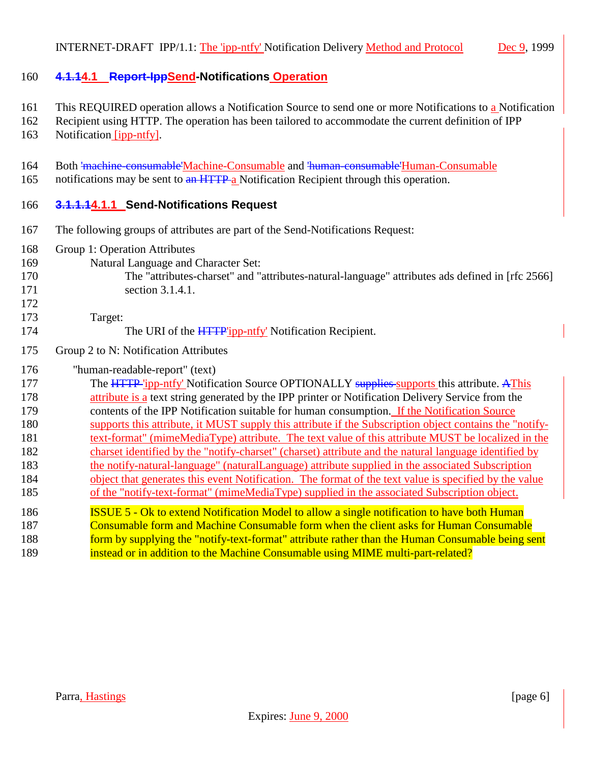#### <span id="page-5-0"></span>**4.1.14.1 Report-IppSend-Notifications Operation**

- This REQUIRED operation allows a Notification Source to send one or more Notifications to a Notification
- Recipient using HTTP. The operation has been tailored to accommodate the current definition of IPP
- Notification [ipp-ntfy].
- Both 'machine-consumable'Machine-Consumable and 'human-consumable'Human-Consumable
- 165 notifications may be sent to an HTTP a Notification Recipient through this operation.

### **3.1.1.14.1.1 Send-Notifications Request**

- The following groups of attributes are part of the Send-Notifications Request:
- Group 1: Operation Attributes
- Natural Language and Character Set:
- The "attributes-charset" and "attributes-natural-language" attributes ads defined in [rfc 2566]

- 171 section 3.1.4.1.
- Target:
- 174 The URI of the HTTP'ipp-ntfy' Notification Recipient.
- Group 2 to N: Notification Attributes

#### "human-readable-report" (text)

177 The HTTP 'ipp-ntfy' Notification Source OPTIONALLY supplies supports this attribute. AThis **attribute is a** text string generated by the IPP printer or Notification Delivery Service from the contents of the IPP Notification suitable for human consumption. If the Notification Source supports this attribute, it MUST supply this attribute if the Subscription object contains the "notify-181 text-format" (mimeMediaType) attribute. The text value of this attribute MUST be localized in the charset identified by the "notify-charset" (charset) attribute and the natural language identified by the notify-natural-language" (naturalLanguage) attribute supplied in the associated Subscription object that generates this event Notification. The format of the text value is specified by the value of the "notify-text-format" (mimeMediaType) supplied in the associated Subscription object. **ISSUE 5 - Ok to extend Notification Model to allow a single notification to have both Human**  Consumable form and Machine Consumable form when the client asks for Human Consumable 188 form by supplying the "notify-text-format" attribute rather than the Human Consumable being sent **instead or in addition to the Machine Consumable using MIME multi-part-related?**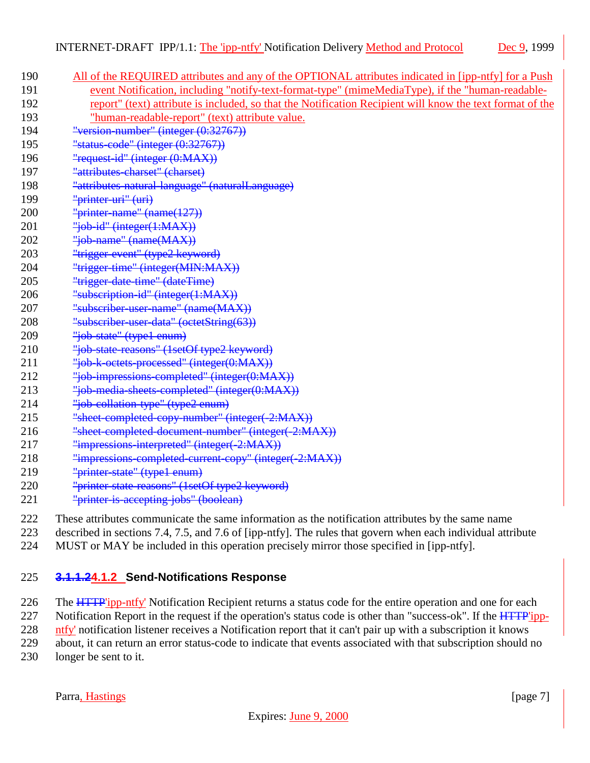<span id="page-6-0"></span>

| 190 | All of the REQUIRED attributes and any of the OPTIONAL attributes indicated in [ipp-ntfy] for a Push      |
|-----|-----------------------------------------------------------------------------------------------------------|
| 191 | event Notification, including "notify-text-format-type" (mimeMediaType), if the "human-readable-          |
| 192 | report" (text) attribute is included, so that the Notification Recipient will know the text format of the |
| 193 | "human-readable-report" (text) attribute value.                                                           |
| 194 | "version-number" (integer $(0:32767)$ )                                                                   |
| 195 | "status-code" (integer $(0:32767)$ )                                                                      |
| 196 | "request-id" (integer (0:MAX))                                                                            |
| 197 | "attributes-charset" (charset)                                                                            |
| 198 | "attributes natural language" (naturalLanguage)                                                           |
| 199 | "printer-uri" (uri)                                                                                       |
| 200 | "printer-name" $(name(127))$                                                                              |
| 201 | "job-id" (integer(1:MAX))                                                                                 |
| 202 | "job-name" (name(MAX))                                                                                    |
| 203 | "trigger-event" (type2 keyword)                                                                           |
| 204 | "trigger-time" (integer(MIN:MAX))                                                                         |
| 205 | "trigger-date-time" (dateTime)                                                                            |
| 206 | "subscription-id" (integer(1:MAX))                                                                        |
| 207 | "subscriber-user-name" (name(MAX))                                                                        |
| 208 | "subscriber-user-data" (octetString(63))                                                                  |
| 209 | "job-state" (type1 enum)                                                                                  |
| 210 | "job-state-reasons" (1setOf type2 keyword)                                                                |
| 211 | "job k octets processed" (integer(0:MAX))                                                                 |
| 212 | "job-impressions-completed" (integer(0:MAX))                                                              |
| 213 | "job-media-sheets-completed" (integer(0:MAX))                                                             |
| 214 | "job-collation-type" (type2 enum)                                                                         |
| 215 | "sheet-completed-copy-number" (integer(-2:MAX))                                                           |
| 216 | "sheet-completed-document-number" (integer(-2:MAX))                                                       |
| 217 | "impressions-interpreted" (integer(-2:MAX))                                                               |
| 218 | "impressions-completed-current-copy" (integer(-2:MAX))                                                    |
| 219 | "printer-state" (type1-enum)                                                                              |
| 220 | "printer-state-reasons" (1setOf type2 keyword)                                                            |
| 221 | "printer-is-accepting-jobs" (boolean)                                                                     |
|     |                                                                                                           |

- 222 These attributes communicate the same information as the notification attributes by the same name
- 223 described in sections 7.4, 7.5, and 7.6 of [ipp-ntfy]. The rules that govern when each individual attribute
- 224 MUST or MAY be included in this operation precisely mirror those specified in [ipp-ntfy].

### 225 **3.1.1.24.1.2 Send-Notifications Response**

226 The HTTP'ipp-ntfy' Notification Recipient returns a status code for the entire operation and one for each

227 Notification Report in the request if the operation's status code is other than "success-ok". If the  $\overline{HTTP'ipp}$ -

228 ntfy' notification listener receives a Notification report that it can't pair up with a subscription it knows

229 about, it can return an error status-code to indicate that events associated with that subscription should no

230 longer be sent to it.

Parra, Hastings [page 7]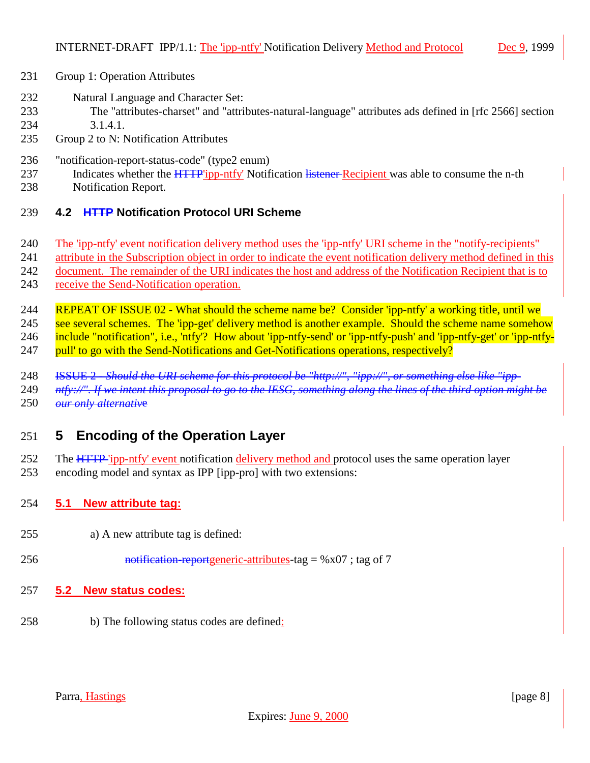- <span id="page-7-0"></span>Group 1: Operation Attributes
- Natural Language and Character Set:
- The "attributes-charset" and "attributes-natural-language" attributes ads defined in [rfc 2566] section 3.1.4.1.
- Group 2 to N: Notification Attributes
- "notification-report-status-code" (type2 enum)
- 237 Indicates whether the **HTTP**'ipp-ntfy' Notification listener-Recipient was able to consume the n-th Notification Report.
- 
- **4.2 HTTP Notification Protocol URI Scheme**
- The 'ipp-ntfy' event notification delivery method uses the 'ipp-ntfy' URI scheme in the "notify-recipients"
- attribute in the Subscription object in order to indicate the event notification delivery method defined in this
- document. The remainder of the URI indicates the host and address of the Notification Recipient that is to
- 243 receive the Send-Notification operation.
- REPEAT OF ISSUE 02 What should the scheme name be? Consider 'ipp-ntfy' a working title, until we 245 see several schemes. The 'ipp-get' delivery method is another example. Should the scheme name somehow include "notification", i.e., 'ntfy'? How about 'ipp-ntfy-send' or 'ipp-ntfy-push' and 'ipp-ntfy-get' or 'ipp-ntfy-247 pull' to go with the Send-Notifications and Get-Notifications operations, respectively?
- 
- ISSUE 2 *Should the URI scheme for this protocol be "http://", "ipp://", or something else like "ipp-*
- *ntfy://". If we intent this proposal to go to the IESG, something along the lines of the third option might be our only alternativ*e

## **5 Encoding of the Operation Layer**

- 252 The HTTP 'ipp-ntfy' event notification delivery method and protocol uses the same operation layer
- encoding model and syntax as IPP [ipp-pro] with two extensions:

#### **5.1 New attribute tag:**

- a) A new attribute tag is defined:
- 256 notification-reportgeneric-attributes-tag =  $%x07$ ; tag of 7
- **5.2 New status codes:**
- b) The following status codes are defined: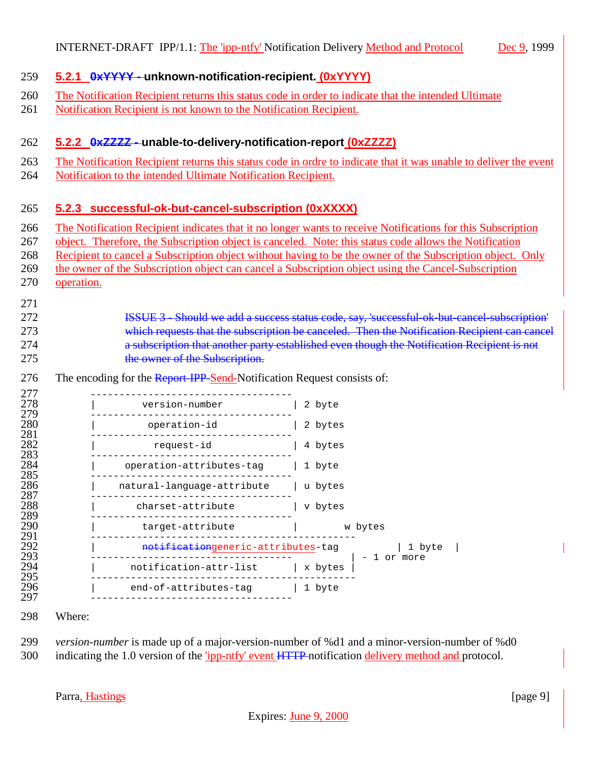#### <span id="page-8-0"></span>**5.2.1 0xYYYY - unknown-notification-recipient. (0xYYYY)**

- The Notification Recipient returns this status code in order to indicate that the intended Ultimate
- Notification Recipient is not known to the Notification Recipient.

#### **5.2.2 0xZZZZ - unable-to-delivery-notification-report (0xZZZZ)**

- The Notification Recipient returns this status code in ordre to indicate that it was unable to deliver the event
- Notification to the intended Ultimate Notification Recipient.

#### **5.2.3 successful-ok-but-cancel-subscription (0xXXXX)**

- The Notification Recipient indicates that it no longer wants to receive Notifications for this Subscription
- object. Therefore, the Subscription object is canceled. Note: this status code allows the Notification
- Recipient to cancel a Subscription object without having to be the owner of the Subscription object. Only
- the owner of the Subscription object can cancel a Subscription object using the Cancel-Subscription
- operation.

#### ISSUE 3 - Should we add a success status code, say, 'successful-ok-but-cancel-subscription' which requests that the subscription be canceled. Then the Notification Recipient can cancel a subscription that another party established even though the Notification Recipient is not 275 the owner of the Subscription.

276 The encoding for the Report-IPP-Send-Notification Request consists of:

| 277        |                                    |                        |
|------------|------------------------------------|------------------------|
| 278<br>279 | version-number                     | 2 byte                 |
| 280<br>281 | operation-id                       | 2 bytes                |
| 282<br>283 | request-id                         | 4 bytes                |
| 284<br>285 | operation-attributes-tag           | 1 byte                 |
| 286<br>287 | natural-language-attribute         | u bytes                |
| 288<br>289 | charset-attribute                  | v bytes                |
| 290<br>291 | target-attribute                   | w bytes                |
| 292<br>293 | notificationgeneric-attributes-tag | 1 byte                 |
| 294<br>295 | notification-attr-list             | 1 or more<br>  x bytes |
| 296<br>297 | end-of-attributes-tag   1 byte     |                        |
|            |                                    |                        |

- Where:
- *version-number* is made up of a major-version-number of %d1 and a minor-version-number of %d0 indicating the 1.0 version of the 'ipp-ntfy' event HTTP notification delivery method and protocol.

Parra, Hastings [page 9]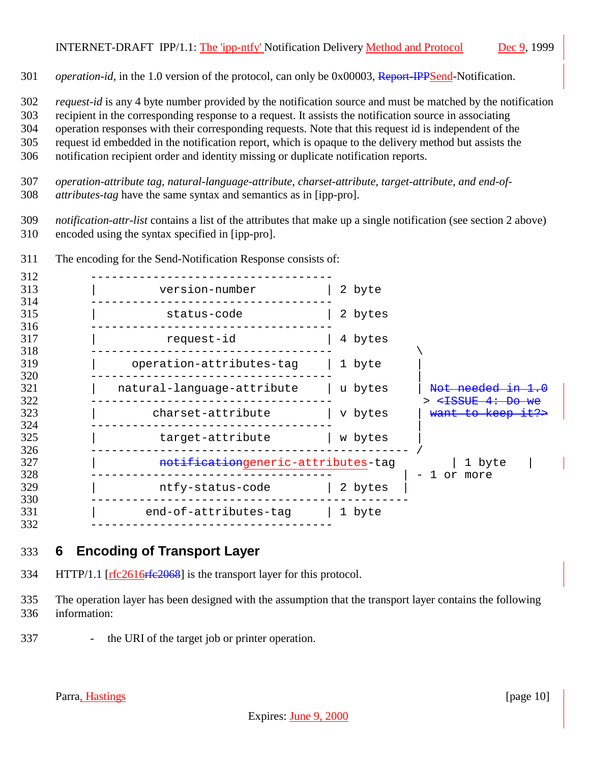### <span id="page-9-0"></span>INTERNET-DRAFT IPP/1.1: The 'ipp-ntfy' Notification Delivery Method and Protocol Dec 9, 1999

*operation-id*, in the 1.0 version of the protocol, can only be 0x00003, Report-IPPSend-Notification.

*request-id* is any 4 byte number provided by the notification source and must be matched by the notification

recipient in the corresponding response to a request. It assists the notification source in associating

operation responses with their corresponding requests. Note that this request id is independent of the

request id embedded in the notification report, which is opaque to the delivery method but assists the

notification recipient order and identity missing or duplicate notification reports.

 *operation-attribute tag, natural-language-attribute, charset-attribute, target-attribute, and end-of-attributes-tag* have the same syntax and semantics as in [ipp-pro].

 *notification-attr-list* contains a list of the attributes that make up a single notification (see section 2 above) encoded using the syntax specified in [ipp-pro].

| 312<br>313<br>314 | version-number                     | 2 byte  |                                                                                 |
|-------------------|------------------------------------|---------|---------------------------------------------------------------------------------|
| 315               | status-code                        | 2 bytes |                                                                                 |
| 316<br>317        | request-id                         | 4 bytes |                                                                                 |
| 318<br>319        | operation-attributes-tag           | 1 byte  |                                                                                 |
| 320<br>321        | natural-language-attribute         | u bytes | Not needed in 1.0                                                               |
| 322<br>323        | charset-attribute                  | v bytes | > <del><issue 4:="" del="" do="" we<=""><br/>want to keep it?&gt;</issue></del> |
| 324<br>325        | target-attribute                   | w bytes |                                                                                 |
| 326<br>327        | notificationgeneric-attributes-tag |         | 1 byte                                                                          |
| 328<br>329        | ntfy-status-code                   | 2 bytes | 1 or more                                                                       |
| 330<br>331        | end-of-attributes-tag              | 1 byte  |                                                                                 |
| 332               |                                    |         |                                                                                 |

The encoding for the Send-Notification Response consists of:

## **6 Encoding of Transport Layer**

- 334 HTTP/1.1 [rfc2616rfe2068] is the transport layer for this protocol.
- The operation layer has been designed with the assumption that the transport layer contains the following information:
- the URI of the target job or printer operation.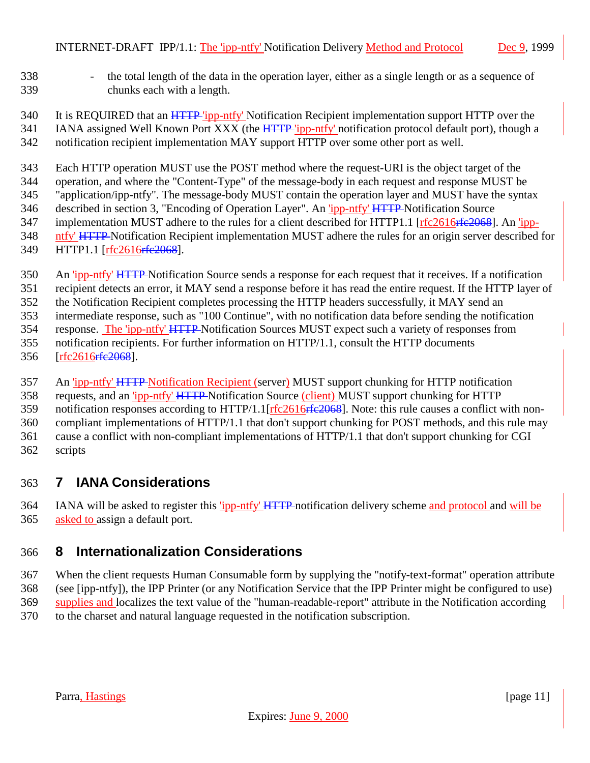- <span id="page-10-0"></span> - the total length of the data in the operation layer, either as a single length or as a sequence of chunks each with a length.
- 340 It is REQUIRED that an HTTP 'ipp-ntfy' Notification Recipient implementation support HTTP over the 341 IANA assigned Well Known Port XXX (the HTTP 'ipp-ntfy' notification protocol default port), though a notification recipient implementation MAY support HTTP over some other port as well.

 Each HTTP operation MUST use the POST method where the request-URI is the object target of the operation, and where the "Content-Type" of the message-body in each request and response MUST be "application/ipp-ntfy". The message-body MUST contain the operation layer and MUST have the syntax described in section 3, "Encoding of Operation Layer". An 'ipp-ntfy' HTTP Notification Source 347 implementation MUST adhere to the rules for a client described for HTTP1.1 [rfc2616rfe2068]. An 'ipp- ntfy' HTTP Notification Recipient implementation MUST adhere the rules for an origin server described for HTTP1.1 [rfc2616rfc2068].

- 350 An 'ipp-ntfy' HTTP Notification Source sends a response for each request that it receives. If a notification
- recipient detects an error, it MAY send a response before it has read the entire request. If the HTTP layer of
- the Notification Recipient completes processing the HTTP headers successfully, it MAY send an intermediate response, such as "100 Continue", with no notification data before sending the notification
- response. The 'ipp-ntfy' HTTP Notification Sources MUST expect such a variety of responses from
- notification recipients. For further information on HTTP/1.1, consult the HTTP documents
- 356 [rfc2616<del>rfc2068</del>].
- An 'ipp-ntfy' HTTP Notification Recipient (server) MUST support chunking for HTTP notification
- requests, and an 'ipp-ntfy' HTTP Notification Source (client) MUST support chunking for HTTP
- 359 notification responses according to HTTP/1.1[rfc2616<del>rfc2068</del>]. Note: this rule causes a conflict with non-
- compliant implementations of HTTP/1.1 that don't support chunking for POST methods, and this rule may
- cause a conflict with non-compliant implementations of HTTP/1.1 that don't support chunking for CGI scripts

## **7 IANA Considerations**

 IANA will be asked to register this 'ipp-ntfy' HTTP notification delivery scheme and protocol and will be 365 asked to assign a default port.

## **8 Internationalization Considerations**

 When the client requests Human Consumable form by supplying the "notify-text-format" operation attribute (see [ipp-ntfy]), the IPP Printer (or any Notification Service that the IPP Printer might be configured to use) supplies and localizes the text value of the "human-readable-report" attribute in the Notification according to the charset and natural language requested in the notification subscription.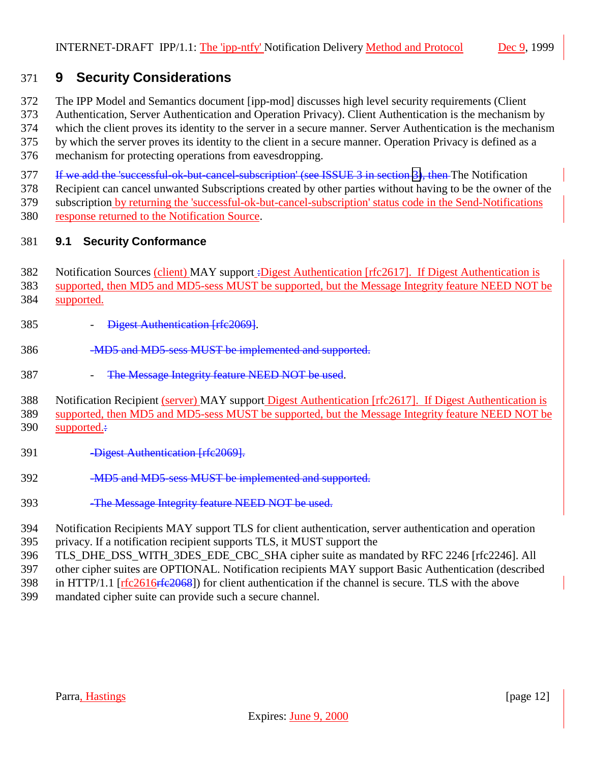## <span id="page-11-0"></span>371 **9 Security Considerations**

372 The IPP Model and Semantics document [ipp-mod] discusses high level security requirements (Client

373 Authentication, Server Authentication and Operation Privacy). Client Authentication is the mechanism by 374 which the client proves its identity to the server in a secure manner. Server Authentication is the mechanism

375 by which the server proves its identity to the client in a secure manner. Operation Privacy is defined as a

376 mechanism for protecting operations from eavesdropping.

377 If we add the 'successful-ok-but-cancel-subscription' (see ISSUE 3 in section [3\)](#page-7-0), then The Notification

378 Recipient can cancel unwanted Subscriptions created by other parties without having to be the owner of the

379 subscription by returning the 'successful-ok-but-cancel-subscription' status code in the Send-Notifications

380 response returned to the Notification Source.

## 381 **9.1 Security Conformance**

- 382 Notification Sources (client) MAY support :Digest Authentication [rfc2617]. If Digest Authentication is
- 383 supported, then MD5 and MD5-sess MUST be supported, but the Message Integrity feature NEED NOT be
- 384 supported.
- 385 **Digest Authentication [rfc2069]**.
- 386 -MD5 and MD5-sess MUST be implemented and supported.
- 387 The Message Integrity feature NEED NOT be used.

388 Notification Recipient (server) MAY support Digest Authentication [rfc2617]. If Digest Authentication is

389 supported, then MD5 and MD5-sess MUST be supported, but the Message Integrity feature NEED NOT be

- 390 supported.:
- 391 -Digest Authentication [rfc2069].
- 392 **-MD5 and MD5-sess MUST be implemented and supported.**
- 393 -The Message Integrity feature NEED NOT be used.
- 394 Notification Recipients MAY support TLS for client authentication, server authentication and operation
- 395 privacy. If a notification recipient supports TLS, it MUST support the
- 396 TLS\_DHE\_DSS\_WITH\_3DES\_EDE\_CBC\_SHA cipher suite as mandated by RFC 2246 [rfc2246]. All
- 397 other cipher suites are OPTIONAL. Notification recipients MAY support Basic Authentication (described
- 398 in HTTP/1.1 [rfc2616rfe2068]) for client authentication if the channel is secure. TLS with the above
- 399 mandated cipher suite can provide such a secure channel.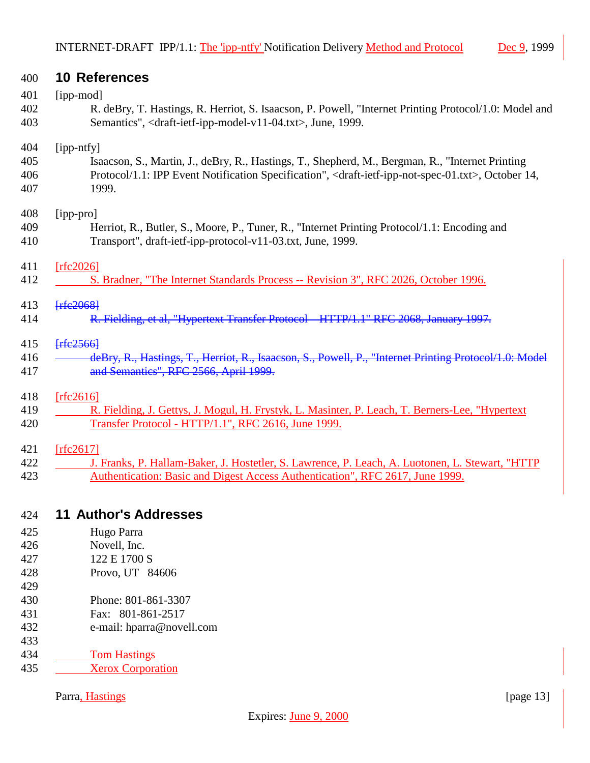<span id="page-12-0"></span>

| 400        | 10 References                                                                                                                                 |
|------------|-----------------------------------------------------------------------------------------------------------------------------------------------|
| 401        | [ipp-mod]                                                                                                                                     |
| 402        | R. deBry, T. Hastings, R. Herriot, S. Isaacson, P. Powell, "Internet Printing Protocol/1.0: Model and                                         |
| 403        | Semantics", <draft-ietf-ipp-model-v11-04.txt>, June, 1999.</draft-ietf-ipp-model-v11-04.txt>                                                  |
| 404        | [ipp-ntfy]                                                                                                                                    |
| 405        | Isaacson, S., Martin, J., deBry, R., Hastings, T., Shepherd, M., Bergman, R., "Internet Printing                                              |
| 406<br>407 | Protocol/1.1: IPP Event Notification Specification", <draft-ietf-ipp-not-spec-01.txt>, October 14,<br/>1999.</draft-ietf-ipp-not-spec-01.txt> |
| 408        | [ipp-pro]                                                                                                                                     |
| 409        | Herriot, R., Butler, S., Moore, P., Tuner, R., "Internet Printing Protocol/1.1: Encoding and                                                  |
| 410        | Transport", draft-ietf-ipp-protocol-v11-03.txt, June, 1999.                                                                                   |
| 411        | [rfc2026]                                                                                                                                     |
| 412        | S. Bradner, "The Internet Standards Process -- Revision 3", RFC 2026, October 1996.                                                           |
| 413        | <b>Frfe2068</b>                                                                                                                               |
| 414        | R. Fielding, et al, "Hypertext Transfer Protocol HTTP/1.1" RFC 2068, January 1997.                                                            |
| 415        | Ffc2566                                                                                                                                       |
| 416        | deBry, R., Hastings, T., Herriot, R., Isaacson, S., Powell, P., "Internet Printing Protocol/1.0: Model                                        |
| 417        | and Semantics", RFC 2566, April 1999.                                                                                                         |
| 418        | [rfc2616]                                                                                                                                     |
| 419        | R. Fielding, J. Gettys, J. Mogul, H. Frystyk, L. Masinter, P. Leach, T. Berners-Lee, "Hypertext                                               |
| 420        | Transfer Protocol - HTTP/1.1", RFC 2616, June 1999.                                                                                           |
| 421        | [rfc2617]                                                                                                                                     |
| 422        | J. Franks, P. Hallam-Baker, J. Hostetler, S. Lawrence, P. Leach, A. Luotonen, L. Stewart, "HTTP                                               |
| 423        | Authentication: Basic and Digest Access Authentication", RFC 2617, June 1999.                                                                 |
| 424        | <b>11 Author's Addresses</b>                                                                                                                  |
| 425        | Hugo Parra                                                                                                                                    |
| 426        | Novell, Inc.                                                                                                                                  |
| 427        | 122 E 1700 S                                                                                                                                  |
| 428        | Provo, UT 84606                                                                                                                               |
| 429        |                                                                                                                                               |
| 430<br>431 | Phone: 801-861-3307<br>Fax: 801-861-2517                                                                                                      |
|            |                                                                                                                                               |

- e-mail: hparra@novell.com
- 433<br>434
- **Tom Hastings** 435 Xerox Corporation
	- Parra, Hastings [page 13]